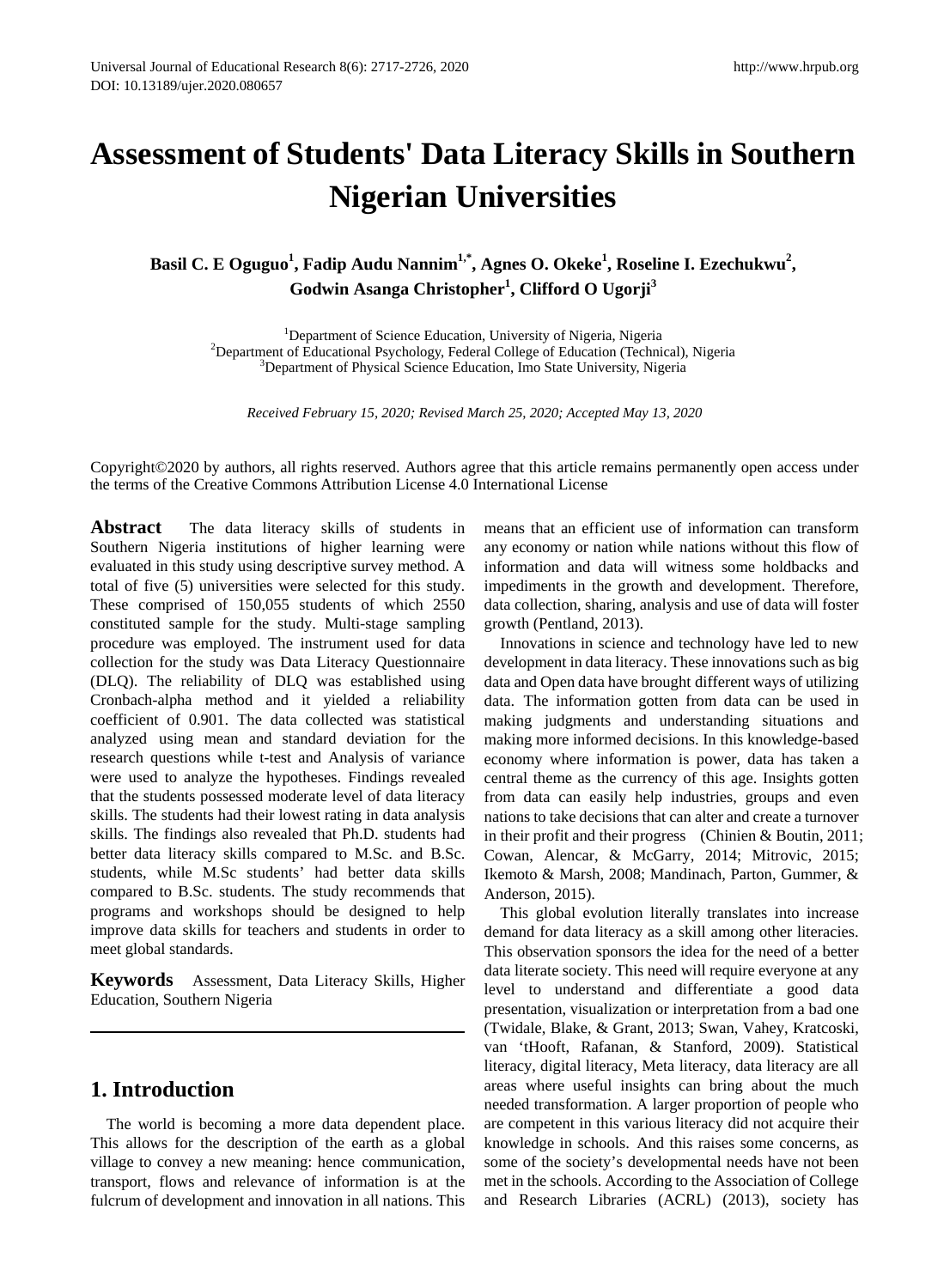# **Assessment of Students' Data Literacy Skills in Southern Nigerian Universities**

# Basil C. E Oguguo<sup>1</sup>, Fadip Audu Nannim<sup>1,\*</sup>, Agnes O. Okeke<sup>1</sup>, Roseline I. Ezechukwu<sup>2</sup>, **Godwin Asanga Christopher1 , Clifford O Ugorji<sup>3</sup>**

<sup>1</sup>Department of Science Education, University of Nigeria, Nigeria <sup>1</sup>Department of Science Education, University of Nigeria, Nigeria<sup>2</sup><br><sup>2</sup>Department of Educational Psychology, Federal College of Education (Techni Department of Educational Psychology, Federal College of Education (Technical), Nigeria<br><sup>3</sup>Department of Physical Science Education, Imo State University, Nigeria <sup>3</sup>Department of Physical Science Education, Imo State University, Nigeria

*Received February 15, 2020; Revised March 25, 2020; Accepted May 13, 2020*

Copyright©2020 by authors, all rights reserved. Authors agree that this article remains permanently open access under the terms of the Creative Commons Attribution License 4.0 International License

**Abstract** The data literacy skills of students in Southern Nigeria institutions of higher learning were evaluated in this study using descriptive survey method. A total of five (5) universities were selected for this study. These comprised of 150,055 students of which 2550 constituted sample for the study. Multi-stage sampling procedure was employed. The instrument used for data collection for the study was Data Literacy Questionnaire (DLQ). The reliability of DLQ was established using Cronbach-alpha method and it yielded a reliability coefficient of 0.901. The data collected was statistical analyzed using mean and standard deviation for the research questions while t-test and Analysis of variance were used to analyze the hypotheses. Findings revealed that the students possessed moderate level of data literacy skills. The students had their lowest rating in data analysis skills. The findings also revealed that Ph.D. students had better data literacy skills compared to M.Sc. and B.Sc. students, while M.Sc students' had better data skills compared to B.Sc. students. The study recommends that programs and workshops should be designed to help improve data skills for teachers and students in order to meet global standards.

**Keywords** Assessment, Data Literacy Skills, Higher Education, Southern Nigeria

## **1. Introduction**

The world is becoming a more data dependent place. This allows for the description of the earth as a global village to convey a new meaning: hence communication, transport, flows and relevance of information is at the fulcrum of development and innovation in all nations. This means that an efficient use of information can transform any economy or nation while nations without this flow of information and data will witness some holdbacks and impediments in the growth and development. Therefore, data collection, sharing, analysis and use of data will foster growth (Pentland, 2013).

Innovations in science and technology have led to new development in data literacy. These innovations such as big data and Open data have brought different ways of utilizing data. The information gotten from data can be used in making judgments and understanding situations and making more informed decisions. In this knowledge-based economy where information is power, data has taken a central theme as the currency of this age. Insights gotten from data can easily help industries, groups and even nations to take decisions that can alter and create a turnover in their profit and their progress (Chinien & Boutin, 2011; Cowan, Alencar, & McGarry, 2014; Mitrovic, 2015; Ikemoto & Marsh, 2008; Mandinach, Parton, Gummer, & Anderson, 2015).

This global evolution literally translates into increase demand for data literacy as a skill among other literacies. This observation sponsors the idea for the need of a better data literate society. This need will require everyone at any level to understand and differentiate a good data presentation, visualization or interpretation from a bad one (Twidale, Blake, & Grant, 2013; Swan, Vahey, Kratcoski, van 'tHooft, Rafanan, & Stanford, 2009). Statistical literacy, digital literacy, Meta literacy, data literacy are all areas where useful insights can bring about the much needed transformation. A larger proportion of people who are competent in this various literacy did not acquire their knowledge in schools. And this raises some concerns, as some of the society's developmental needs have not been met in the schools. According to the Association of College and Research Libraries (ACRL) (2013), society has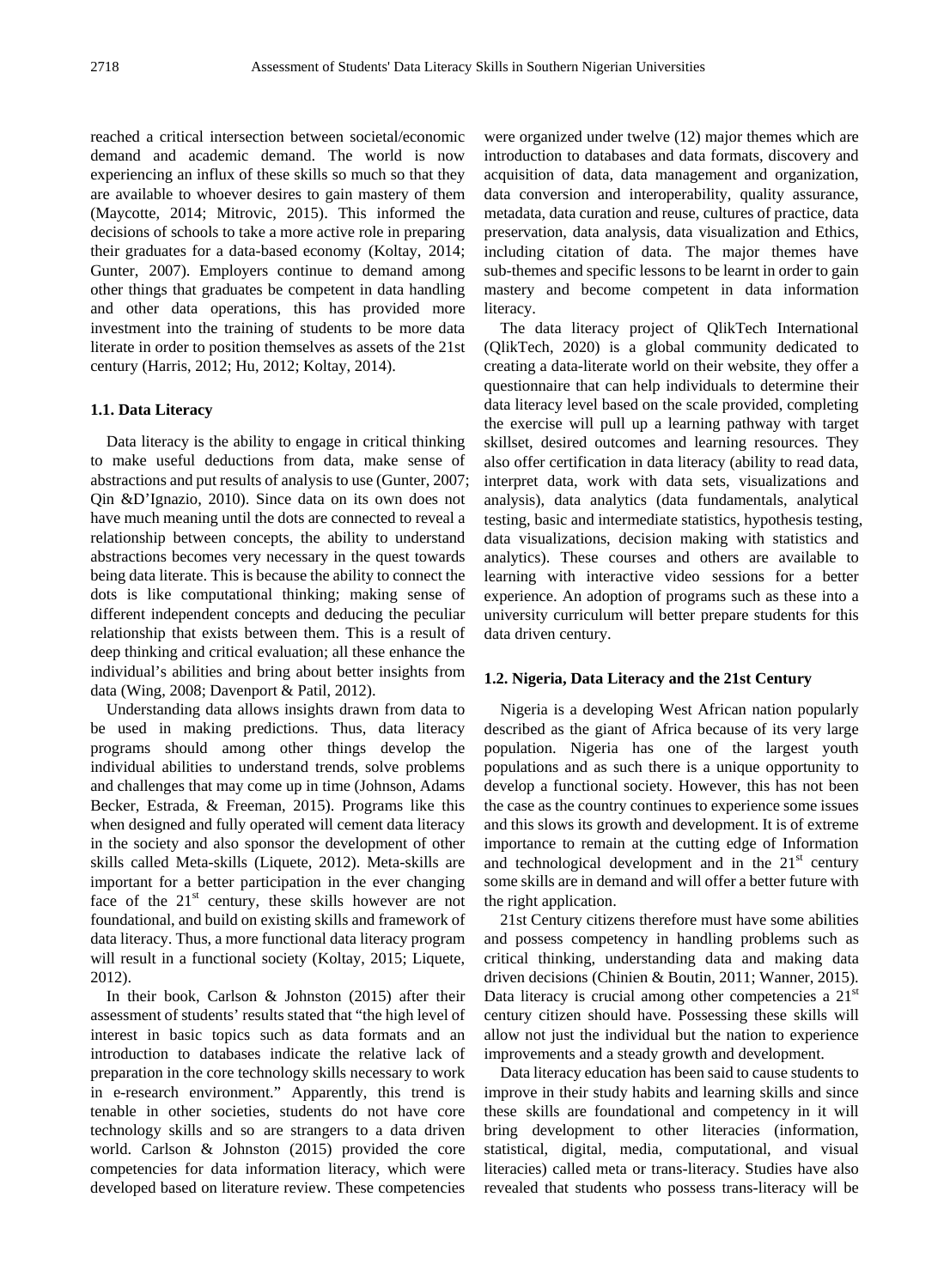reached a critical intersection between societal/economic demand and academic demand. The world is now experiencing an influx of these skills so much so that they are available to whoever desires to gain mastery of them (Maycotte, 2014; Mitrovic, 2015). This informed the decisions of schools to take a more active role in preparing their graduates for a data-based economy (Koltay, 2014; Gunter, 2007). Employers continue to demand among other things that graduates be competent in data handling and other data operations, this has provided more investment into the training of students to be more data literate in order to position themselves as assets of the 21st century (Harris, 2012; Hu, 2012; Koltay, 2014).

#### **1.1. Data Literacy**

Data literacy is the ability to engage in critical thinking to make useful deductions from data, make sense of abstractions and put results of analysis to use (Gunter, 2007; Qin &D'Ignazio, 2010). Since data on its own does not have much meaning until the dots are connected to reveal a relationship between concepts, the ability to understand abstractions becomes very necessary in the quest towards being data literate. This is because the ability to connect the dots is like computational thinking; making sense of different independent concepts and deducing the peculiar relationship that exists between them. This is a result of deep thinking and critical evaluation; all these enhance the individual's abilities and bring about better insights from data (Wing, 2008; Davenport & Patil, 2012).

Understanding data allows insights drawn from data to be used in making predictions. Thus, data literacy programs should among other things develop the individual abilities to understand trends, solve problems and challenges that may come up in time (Johnson, Adams Becker, Estrada, & Freeman, 2015). Programs like this when designed and fully operated will cement data literacy in the society and also sponsor the development of other skills called Meta-skills (Liquete, 2012). Meta-skills are important for a better participation in the ever changing face of the  $21<sup>st</sup>$  century, these skills however are not foundational, and build on existing skills and framework of data literacy. Thus, a more functional data literacy program will result in a functional society (Koltay, 2015; Liquete, 2012).

In their book, Carlson & Johnston (2015) after their assessment of students' results stated that "the high level of interest in basic topics such as data formats and an introduction to databases indicate the relative lack of preparation in the core technology skills necessary to work in e-research environment." Apparently, this trend is tenable in other societies, students do not have core technology skills and so are strangers to a data driven world. Carlson & Johnston (2015) provided the core competencies for data information literacy, which were developed based on literature review. These competencies

were organized under twelve (12) major themes which are introduction to databases and data formats, discovery and acquisition of data, data management and organization, data conversion and interoperability, quality assurance, metadata, data curation and reuse, cultures of practice, data preservation, data analysis, data visualization and Ethics, including citation of data. The major themes have sub-themes and specific lessons to be learnt in order to gain mastery and become competent in data information literacy.

The data literacy project of QlikTech International (QlikTech, 2020) is a global community dedicated to creating a data-literate world on their website, they offer a questionnaire that can help individuals to determine their data literacy level based on the scale provided, completing the exercise will pull up a learning pathway with target skillset, desired outcomes and learning resources. They also offer certification in data literacy (ability to read data, interpret data, work with data sets, visualizations and analysis), data analytics (data fundamentals, analytical testing, basic and intermediate statistics, hypothesis testing, data visualizations, decision making with statistics and analytics). These courses and others are available to learning with interactive video sessions for a better experience. An adoption of programs such as these into a university curriculum will better prepare students for this data driven century.

#### **1.2. Nigeria, Data Literacy and the 21st Century**

Nigeria is a developing West African nation popularly described as the giant of Africa because of its very large population. Nigeria has one of the largest youth populations and as such there is a unique opportunity to develop a functional society. However, this has not been the case as the country continues to experience some issues and this slows its growth and development. It is of extreme importance to remain at the cutting edge of Information and technological development and in the  $21<sup>st</sup>$  century some skills are in demand and will offer a better future with the right application.

21st Century citizens therefore must have some abilities and possess competency in handling problems such as critical thinking, understanding data and making data driven decisions (Chinien & Boutin, 2011; Wanner, 2015). Data literacy is crucial among other competencies a  $21<sup>st</sup>$ century citizen should have. Possessing these skills will allow not just the individual but the nation to experience improvements and a steady growth and development.

Data literacy education has been said to cause students to improve in their study habits and learning skills and since these skills are foundational and competency in it will bring development to other literacies (information, statistical, digital, media, computational, and visual literacies) called meta or trans-literacy. Studies have also revealed that students who possess trans-literacy will be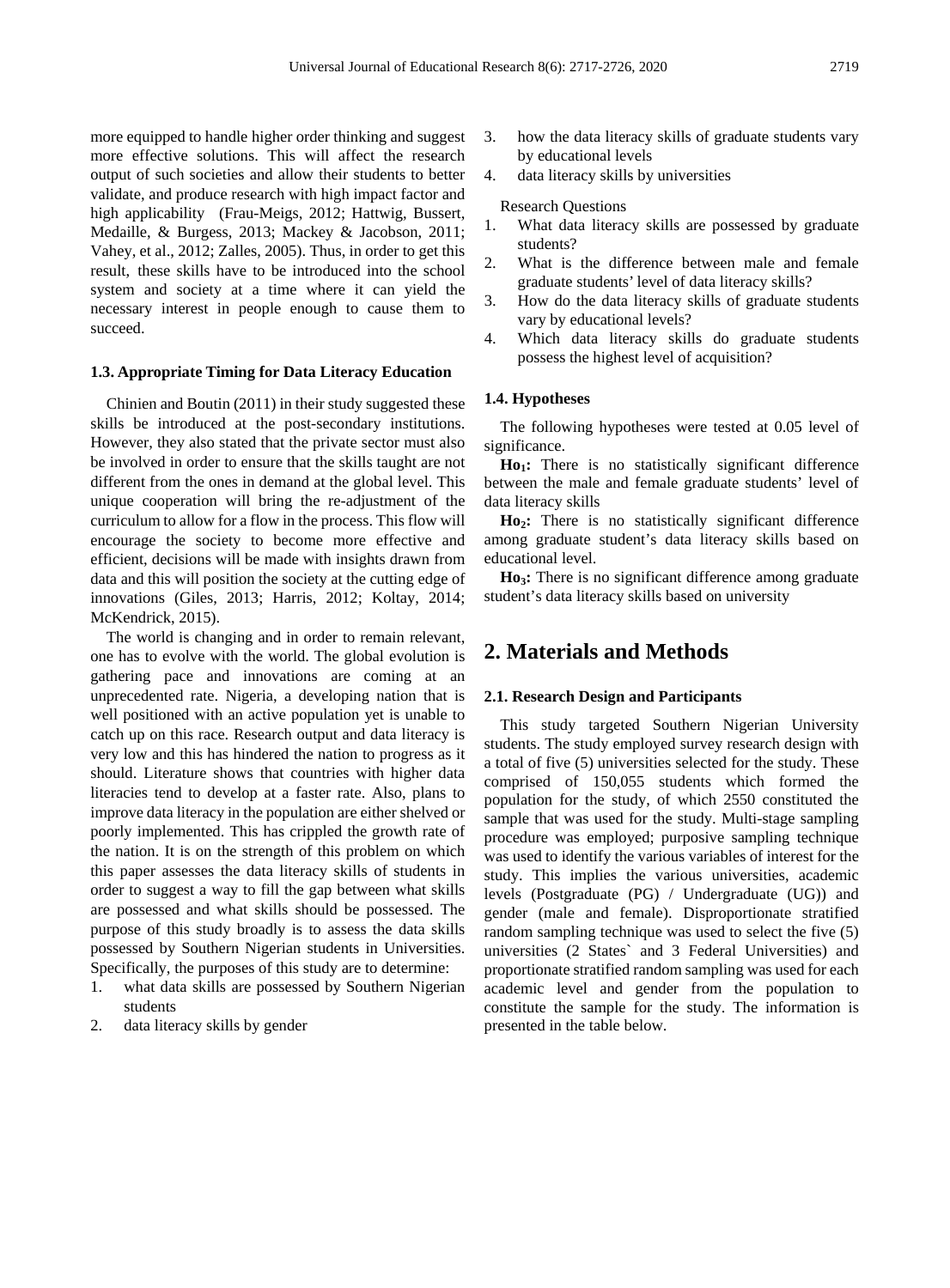more equipped to handle higher order thinking and suggest more effective solutions. This will affect the research output of such societies and allow their students to better validate, and produce research with high impact factor and high applicability (Frau-Meigs, 2012; Hattwig, Bussert, Medaille, & Burgess, 2013; Mackey & Jacobson, 2011; Vahey, et al., 2012; Zalles, 2005). Thus, in order to get this result, these skills have to be introduced into the school system and society at a time where it can yield the necessary interest in people enough to cause them to succeed.

#### **1.3. Appropriate Timing for Data Literacy Education**

Chinien and Boutin (2011) in their study suggested these skills be introduced at the post-secondary institutions. However, they also stated that the private sector must also be involved in order to ensure that the skills taught are not different from the ones in demand at the global level. This unique cooperation will bring the re-adjustment of the curriculum to allow for a flow in the process. This flow will encourage the society to become more effective and efficient, decisions will be made with insights drawn from data and this will position the society at the cutting edge of innovations (Giles, 2013; Harris, 2012; Koltay, 2014; McKendrick, 2015).

The world is changing and in order to remain relevant, one has to evolve with the world. The global evolution is gathering pace and innovations are coming at an unprecedented rate. Nigeria, a developing nation that is well positioned with an active population yet is unable to catch up on this race. Research output and data literacy is very low and this has hindered the nation to progress as it should. Literature shows that countries with higher data literacies tend to develop at a faster rate. Also, plans to improve data literacy in the population are either shelved or poorly implemented. This has crippled the growth rate of the nation. It is on the strength of this problem on which this paper assesses the data literacy skills of students in order to suggest a way to fill the gap between what skills are possessed and what skills should be possessed. The purpose of this study broadly is to assess the data skills possessed by Southern Nigerian students in Universities. Specifically, the purposes of this study are to determine:

- 1. what data skills are possessed by Southern Nigerian students
- 2. data literacy skills by gender
- 3. how the data literacy skills of graduate students vary by educational levels
- 4. data literacy skills by universities

#### Research Questions

- 1. What data literacy skills are possessed by graduate students?
- 2. What is the difference between male and female graduate students' level of data literacy skills?
- 3. How do the data literacy skills of graduate students vary by educational levels?
- 4. Which data literacy skills do graduate students possess the highest level of acquisition?

#### **1.4. Hypotheses**

The following hypotheses were tested at 0.05 level of significance.

Ho<sub>1</sub>: There is no statistically significant difference between the male and female graduate students' level of data literacy skills

**Ho2:** There is no statistically significant difference among graduate student's data literacy skills based on educational level.

Ho<sub>3</sub>: There is no significant difference among graduate student's data literacy skills based on university

# **2. Materials and Methods**

#### **2.1. Research Design and Participants**

This study targeted Southern Nigerian University students. The study employed survey research design with a total of five (5) universities selected for the study. These comprised of 150,055 students which formed the population for the study, of which 2550 constituted the sample that was used for the study. Multi-stage sampling procedure was employed; purposive sampling technique was used to identify the various variables of interest for the study. This implies the various universities, academic levels (Postgraduate (PG) / Undergraduate (UG)) and gender (male and female). Disproportionate stratified random sampling technique was used to select the five (5) universities (2 States` and 3 Federal Universities) and proportionate stratified random sampling was used for each academic level and gender from the population to constitute the sample for the study. The information is presented in the table below.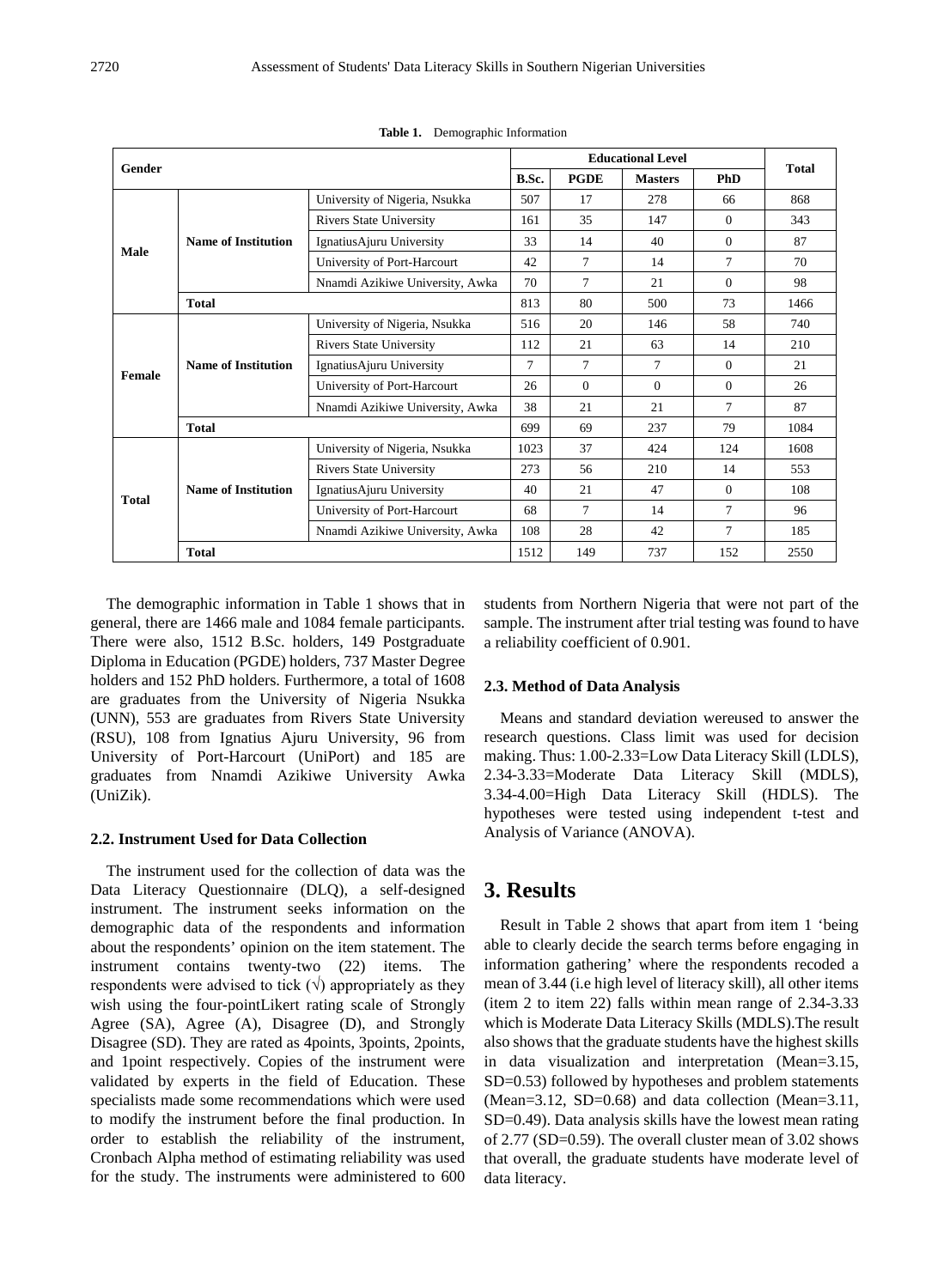| Gender       |                            |                                 | <b>Educational Level</b> |             |                |            |              |
|--------------|----------------------------|---------------------------------|--------------------------|-------------|----------------|------------|--------------|
|              |                            |                                 |                          | <b>PGDE</b> | <b>Masters</b> | <b>PhD</b> | <b>Total</b> |
|              |                            | University of Nigeria, Nsukka   | 507                      | 17          | 278            | 66         | 868          |
|              |                            | <b>Rivers State University</b>  | 161                      | 35          | 147            | $\Omega$   | 343          |
| <b>Male</b>  | <b>Name of Institution</b> | Ignatius Ajuru University       | 33                       | 14          | 40             | $\Omega$   | 87           |
|              |                            | University of Port-Harcourt     | 42                       | 7           | 14             | 7          | 70           |
|              |                            | Nnamdi Azikiwe University, Awka | 70                       | 7           | 21             | $\Omega$   | 98           |
|              | <b>Total</b>               |                                 | 813                      | 80          | 500            | 73         | 1466         |
|              |                            | University of Nigeria, Nsukka   | 516                      | 20          | 146            | 58         | 740          |
|              | <b>Name of Institution</b> | <b>Rivers State University</b>  | 112                      | 21          | 63             | 14         | 210          |
| Female       |                            | IgnatiusAjuru University        | 7                        | 7           | 7              | $\Omega$   | 21           |
|              |                            | University of Port-Harcourt     | 26                       | $\Omega$    | $\Omega$       | $\Omega$   | 26           |
|              |                            | Nnamdi Azikiwe University, Awka | 38                       | 21          | 21             | 7          | 87           |
|              | <b>Total</b>               |                                 | 699                      | 69          | 237            | 79         | 1084         |
|              |                            | University of Nigeria, Nsukka   | 1023                     | 37          | 424            | 124        | 1608         |
|              | <b>Name of Institution</b> | <b>Rivers State University</b>  | 273                      | 56          | 210            | 14         | 553          |
| <b>Total</b> |                            | IgnatiusAjuru University        | 40                       | 21          | 47             | $\Omega$   | 108          |
|              |                            | University of Port-Harcourt     | 68                       | 7           | 14             | 7          | 96           |
|              |                            | Nnamdi Azikiwe University, Awka | 108                      | 28          | 42             | 7          | 185          |
|              | <b>Total</b>               |                                 | 1512                     | 149         | 737            | 152        | 2550         |

**Table 1.** Demographic Information

The demographic information in Table 1 shows that in general, there are 1466 male and 1084 female participants. There were also, 1512 B.Sc. holders, 149 Postgraduate Diploma in Education (PGDE) holders, 737 Master Degree holders and 152 PhD holders. Furthermore, a total of 1608 are graduates from the University of Nigeria Nsukka (UNN), 553 are graduates from Rivers State University (RSU), 108 from Ignatius Ajuru University, 96 from University of Port-Harcourt (UniPort) and 185 are graduates from Nnamdi Azikiwe University Awka (UniZik).

#### **2.2. Instrument Used for Data Collection**

The instrument used for the collection of data was the Data Literacy Questionnaire (DLQ), a self-designed instrument. The instrument seeks information on the demographic data of the respondents and information about the respondents' opinion on the item statement. The instrument contains twenty-two (22) items. The respondents were advised to tick  $(\sqrt{)}$  appropriately as they wish using the four-pointLikert rating scale of Strongly Agree (SA), Agree (A), Disagree (D), and Strongly Disagree (SD). They are rated as 4points, 3points, 2points, and 1point respectively. Copies of the instrument were validated by experts in the field of Education. These specialists made some recommendations which were used to modify the instrument before the final production. In order to establish the reliability of the instrument, Cronbach Alpha method of estimating reliability was used for the study. The instruments were administered to 600

students from Northern Nigeria that were not part of the sample. The instrument after trial testing was found to have a reliability coefficient of 0.901.

#### **2.3. Method of Data Analysis**

Means and standard deviation wereused to answer the research questions. Class limit was used for decision making. Thus: 1.00-2.33=Low Data Literacy Skill (LDLS), 2.34-3.33=Moderate Data Literacy Skill (MDLS), 3.34-4.00=High Data Literacy Skill (HDLS). The hypotheses were tested using independent t-test and Analysis of Variance (ANOVA).

## **3. Results**

Result in Table 2 shows that apart from item 1 'being able to clearly decide the search terms before engaging in information gathering' where the respondents recoded a mean of 3.44 (i.e high level of literacy skill), all other items (item 2 to item 22) falls within mean range of 2.34-3.33 which is Moderate Data Literacy Skills (MDLS).The result also shows that the graduate students have the highest skills in data visualization and interpretation (Mean=3.15, SD=0.53) followed by hypotheses and problem statements (Mean=3.12, SD=0.68) and data collection (Mean=3.11, SD=0.49). Data analysis skills have the lowest mean rating of 2.77 (SD=0.59). The overall cluster mean of 3.02 shows that overall, the graduate students have moderate level of data literacy.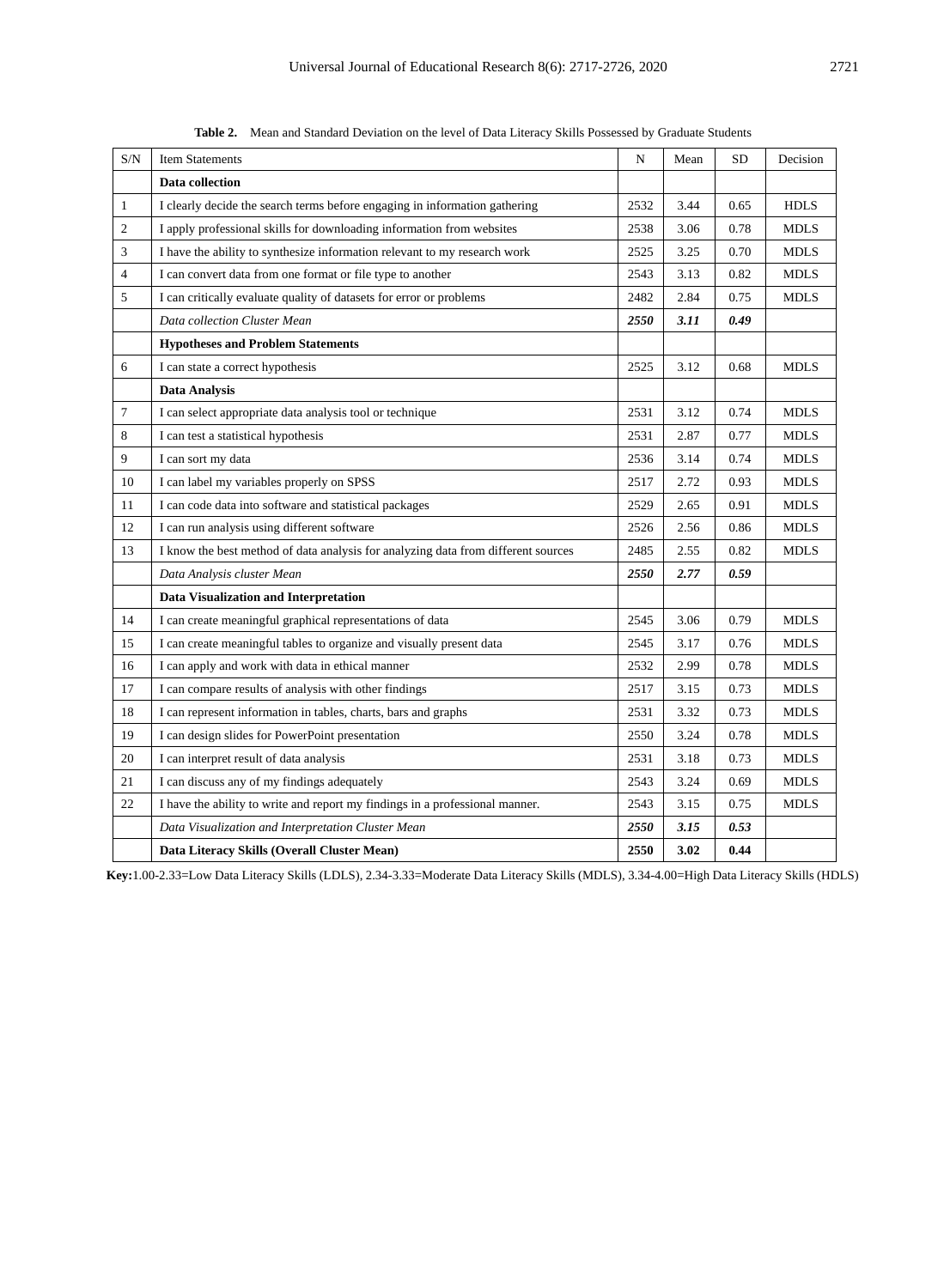| S/N             | <b>Item Statements</b>                                                            | N    | Mean | SD   | Decision    |
|-----------------|-----------------------------------------------------------------------------------|------|------|------|-------------|
|                 | Data collection                                                                   |      |      |      |             |
| 1               | I clearly decide the search terms before engaging in information gathering        | 2532 | 3.44 | 0.65 | <b>HDLS</b> |
| $\overline{2}$  | I apply professional skills for downloading information from websites             | 2538 | 3.06 | 0.78 | <b>MDLS</b> |
| 3               | I have the ability to synthesize information relevant to my research work         | 2525 | 3.25 | 0.70 | <b>MDLS</b> |
| $\overline{4}$  | I can convert data from one format or file type to another                        | 2543 | 3.13 | 0.82 | <b>MDLS</b> |
| 5               | I can critically evaluate quality of datasets for error or problems               | 2482 | 2.84 | 0.75 | <b>MDLS</b> |
|                 | Data collection Cluster Mean                                                      | 2550 | 3.11 | 0.49 |             |
|                 | <b>Hypotheses and Problem Statements</b>                                          |      |      |      |             |
| 6               | I can state a correct hypothesis                                                  | 2525 | 3.12 | 0.68 | <b>MDLS</b> |
|                 | Data Analysis                                                                     |      |      |      |             |
| $7\phantom{.0}$ | I can select appropriate data analysis tool or technique                          | 2531 | 3.12 | 0.74 | <b>MDLS</b> |
| 8               | I can test a statistical hypothesis                                               | 2531 | 2.87 | 0.77 | <b>MDLS</b> |
| 9               | I can sort my data                                                                | 2536 | 3.14 | 0.74 | <b>MDLS</b> |
| 10              | I can label my variables properly on SPSS                                         | 2517 | 2.72 | 0.93 | <b>MDLS</b> |
| 11              | I can code data into software and statistical packages                            | 2529 | 2.65 | 0.91 | <b>MDLS</b> |
| 12              | I can run analysis using different software                                       | 2526 | 2.56 | 0.86 | <b>MDLS</b> |
| 13              | I know the best method of data analysis for analyzing data from different sources | 2485 | 2.55 | 0.82 | <b>MDLS</b> |
|                 | Data Analysis cluster Mean                                                        | 2550 | 2.77 | 0.59 |             |
|                 | <b>Data Visualization and Interpretation</b>                                      |      |      |      |             |
| 14              | I can create meaningful graphical representations of data                         | 2545 | 3.06 | 0.79 | <b>MDLS</b> |
| 15              | I can create meaningful tables to organize and visually present data              | 2545 | 3.17 | 0.76 | <b>MDLS</b> |
| 16              | I can apply and work with data in ethical manner                                  | 2532 | 2.99 | 0.78 | <b>MDLS</b> |
| 17              | I can compare results of analysis with other findings                             | 2517 | 3.15 | 0.73 | <b>MDLS</b> |
| 18              | I can represent information in tables, charts, bars and graphs                    | 2531 | 3.32 | 0.73 | <b>MDLS</b> |
| 19              | I can design slides for PowerPoint presentation                                   | 2550 | 3.24 | 0.78 | <b>MDLS</b> |
| 20              | I can interpret result of data analysis                                           | 2531 | 3.18 | 0.73 | <b>MDLS</b> |
| 21              | I can discuss any of my findings adequately                                       | 2543 | 3.24 | 0.69 | <b>MDLS</b> |
| 22              | I have the ability to write and report my findings in a professional manner.      | 2543 | 3.15 | 0.75 | <b>MDLS</b> |
|                 | Data Visualization and Interpretation Cluster Mean                                | 2550 | 3.15 | 0.53 |             |
|                 | Data Literacy Skills (Overall Cluster Mean)                                       | 2550 | 3.02 | 0.44 |             |

**Table 2.** Mean and Standard Deviation on the level of Data Literacy Skills Possessed by Graduate Students

**Key:**1.00-2.33=Low Data Literacy Skills (LDLS), 2.34-3.33=Moderate Data Literacy Skills (MDLS), 3.34-4.00=High Data Literacy Skills (HDLS)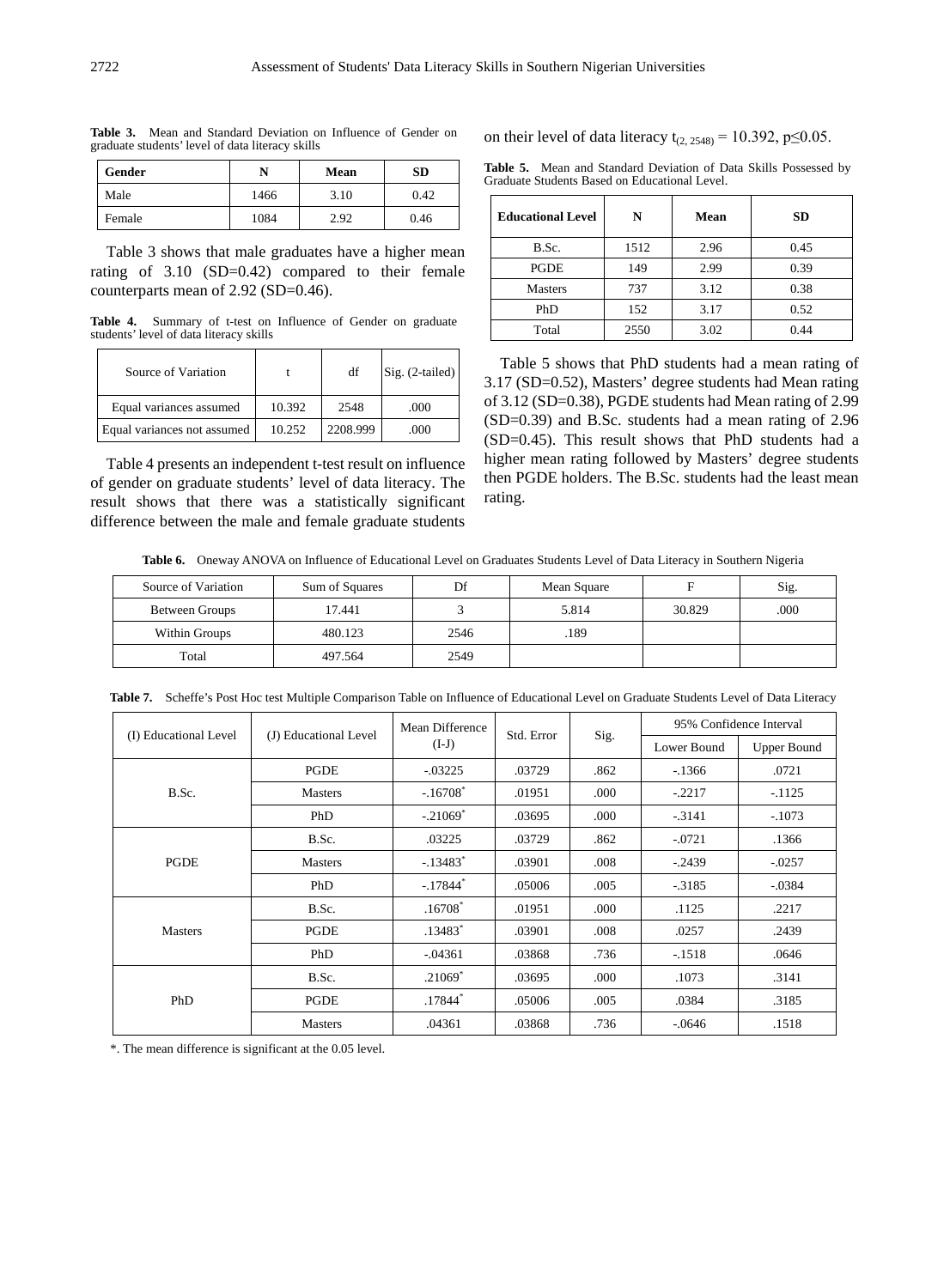| Gender | N    | Mean | SD   |
|--------|------|------|------|
| Male   | 1466 | 3.10 | 0.42 |
| Female | 1084 | 2.92 | 0.46 |

**Table 3.** Mean and Standard Deviation on Influence of Gender on graduate students' level of data literacy skills

Table 3 shows that male graduates have a higher mean rating of 3.10 (SD=0.42) compared to their female counterparts mean of 2.92 (SD=0.46).

**Table 4.** Summary of t-test on Influence of Gender on graduate students' level of data literacy skills

| Source of Variation         |        | df       | $Sig. (2-tailed)$ |
|-----------------------------|--------|----------|-------------------|
| Equal variances assumed     | 10.392 | 2548     | .000              |
| Equal variances not assumed | 10.252 | 2208.999 | .000              |

Table 4 presents an independent t-test result on influence of gender on graduate students' level of data literacy. The result shows that there was a statistically significant difference between the male and female graduate students

on their level of data literacy t<sub>(2, 2548)</sub> = 10.392, p≤0.05.

**Table 5.** Mean and Standard Deviation of Data Skills Possessed by Graduate Students Based on Educational Level.

| <b>Educational Level</b> | N    | Mean | <b>SD</b> |
|--------------------------|------|------|-----------|
| B.Sc.                    | 1512 | 2.96 | 0.45      |
| PGDE                     | 149  | 2.99 | 0.39      |
| <b>Masters</b>           | 737  | 3.12 | 0.38      |
| PhD                      | 152  | 3.17 | 0.52      |
| Total                    | 2550 | 3.02 | 0.44      |

Table 5 shows that PhD students had a mean rating of 3.17 (SD=0.52), Masters' degree students had Mean rating of 3.12 (SD=0.38), PGDE students had Mean rating of 2.99 (SD=0.39) and B.Sc. students had a mean rating of 2.96 (SD=0.45). This result shows that PhD students had a higher mean rating followed by Masters' degree students then PGDE holders. The B.Sc. students had the least mean rating.

**Table 6.** Oneway ANOVA on Influence of Educational Level on Graduates Students Level of Data Literacy in Southern Nigeria

| Source of Variation | Sum of Squares | Df   | Mean Square |        | Sig. |
|---------------------|----------------|------|-------------|--------|------|
| Between Groups      | 7.441          |      | 5.814       | 30.829 | .000 |
| Within Groups       | 480.123        | 2546 | 189         |        |      |
| Total               | 497.564        | 2549 |             |        |      |

**Table 7.** Scheffe's Post Hoc test Multiple Comparison Table on Influence of Educational Level on Graduate Students Level of Data Literacy

|                       |                       | Mean Difference<br>$(I-J)$ |            |      | 95% Confidence Interval |                    |
|-----------------------|-----------------------|----------------------------|------------|------|-------------------------|--------------------|
| (I) Educational Level | (J) Educational Level |                            | Std. Error | Sig. | Lower Bound             | <b>Upper Bound</b> |
|                       | PGDE                  | $-0.03225$                 | .03729     | .862 | $-1366$                 | .0721              |
| B.Sc.                 | <b>Masters</b>        | $-.16708$ <sup>*</sup>     | .01951     | .000 | $-.2217$                | $-1125$            |
|                       | PhD                   | $-.21069*$                 | .03695     | .000 | $-3141$                 | $-.1073$           |
| PGDE                  | B.Sc.                 | .03225                     | .03729     | .862 | $-.0721$                | .1366              |
|                       | <b>Masters</b>        | $-.13483*$                 | .03901     | .008 | $-0.2439$               | $-0.0257$          |
|                       | PhD                   | $-.17844*$                 | .05006     | .005 | $-.3185$                | $-.0384$           |
|                       | B.Sc.                 | $.16708*$                  | .01951     | .000 | .1125                   | .2217              |
| <b>Masters</b>        | PGDE                  | $.13483*$                  | .03901     | .008 | .0257                   | .2439              |
|                       | PhD                   | $-.04361$                  | .03868     | .736 | $-.1518$                | .0646              |
|                       | B.Sc.                 | $.21069*$                  | .03695     | .000 | .1073                   | .3141              |
| PhD                   | PGDE                  | $.17844*$                  | .05006     | .005 | .0384                   | .3185              |
|                       | <b>Masters</b>        | .04361                     | .03868     | .736 | $-.0646$                | .1518              |

\*. The mean difference is significant at the 0.05 level.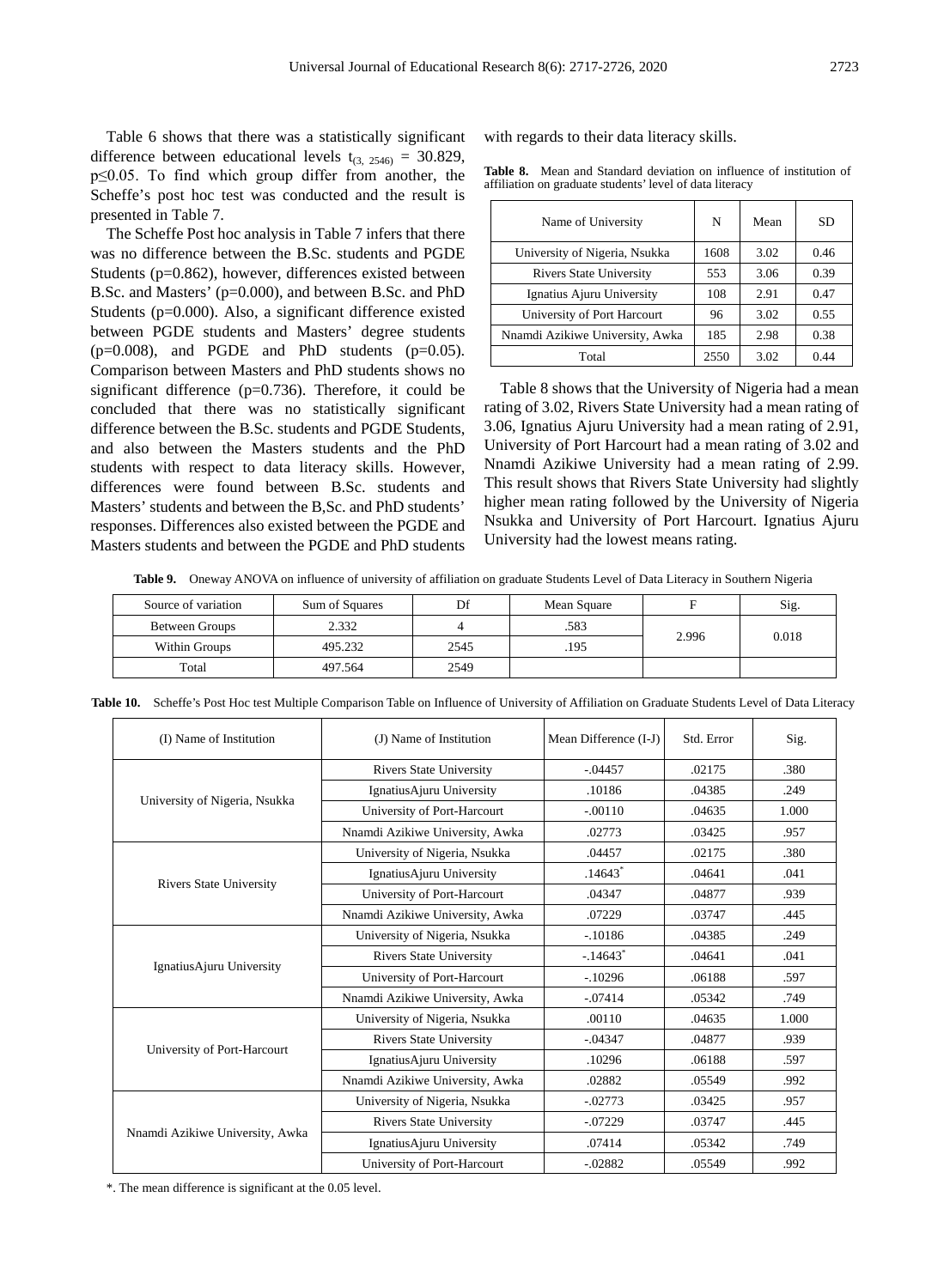Table 6 shows that there was a statistically significant difference between educational levels  $t_{(3, 2546)} = 30.829$ , p≤0.05. To find which group differ from another, the Scheffe's post hoc test was conducted and the result is presented in Table 7.

The Scheffe Post hoc analysis in Table 7 infers that there was no difference between the B.Sc. students and PGDE Students (p=0.862), however, differences existed between B.Sc. and Masters' (p=0.000), and between B.Sc. and PhD Students (p=0.000). Also, a significant difference existed between PGDE students and Masters' degree students  $(p=0.008)$ , and PGDE and PhD students  $(p=0.05)$ . Comparison between Masters and PhD students shows no significant difference  $(p=0.736)$ . Therefore, it could be concluded that there was no statistically significant difference between the B.Sc. students and PGDE Students, and also between the Masters students and the PhD students with respect to data literacy skills. However, differences were found between B.Sc. students and Masters' students and between the B,Sc. and PhD students' responses. Differences also existed between the PGDE and Masters students and between the PGDE and PhD students

with regards to their data literacy skills.

**Table 8.** Mean and Standard deviation on influence of institution of affiliation on graduate students' level of data literacy

| Name of University              | N    | Mean | SD.  |
|---------------------------------|------|------|------|
| University of Nigeria, Nsukka   | 1608 | 3.02 | 0.46 |
| <b>Rivers State University</b>  | 553  | 3.06 | 0.39 |
| Ignatius Ajuru University       | 108  | 2.91 | 0.47 |
| University of Port Harcourt     | 96   | 3.02 | 0.55 |
| Nnamdi Azikiwe University, Awka | 185  | 2.98 | 0.38 |
| Total                           | 2550 | 3.02 | 0.44 |

Table 8 shows that the University of Nigeria had a mean rating of 3.02, Rivers State University had a mean rating of 3.06, Ignatius Ajuru University had a mean rating of 2.91, University of Port Harcourt had a mean rating of 3.02 and Nnamdi Azikiwe University had a mean rating of 2.99. This result shows that Rivers State University had slightly higher mean rating followed by the University of Nigeria Nsukka and University of Port Harcourt. Ignatius Ajuru University had the lowest means rating.

**Table 9.** Oneway ANOVA on influence of university of affiliation on graduate Students Level of Data Literacy in Southern Nigeria

| Source of variation | Sum of Squares | Df   | Mean Square | Е     | Sig.  |
|---------------------|----------------|------|-------------|-------|-------|
| Between Groups      | 2.332          |      | .583        |       |       |
| Within Groups       | 495.232        | 2545 | 195         | 2.996 | 0.018 |
| Total               | 497.564        | 2549 |             |       |       |

**Table 10.** Scheffe's Post Hoc test Multiple Comparison Table on Influence of University of Affiliation on Graduate Students Level of Data Literacy

| (I) Name of Institution         | (J) Name of Institution         | Mean Difference (I-J) | Std. Error | Sig.  |
|---------------------------------|---------------------------------|-----------------------|------------|-------|
|                                 | <b>Rivers State University</b>  | $-.04457$             | .02175     | .380  |
|                                 | IgnatiusAjuru University        | .10186                | .04385     | .249  |
| University of Nigeria, Nsukka   | University of Port-Harcourt     | $-.00110$             | .04635     | 1.000 |
|                                 | Nnamdi Azikiwe University, Awka | .02773                | .03425     | .957  |
|                                 | University of Nigeria, Nsukka   | .04457                | .02175     | .380  |
|                                 | IgnatiusAjuru University        | .14643                | .04641     | .041  |
| <b>Rivers State University</b>  | University of Port-Harcourt     | .04347                | .04877     | .939  |
|                                 | Nnamdi Azikiwe University, Awka | .07229                | .03747     | .445  |
|                                 | University of Nigeria, Nsukka   | $-.10186$             | .04385     | .249  |
|                                 | <b>Rivers State University</b>  | $-14643$ <sup>*</sup> | .04641     | .041  |
| IgnatiusAjuru University        | University of Port-Harcourt     | $-.10296$             | .06188     | .597  |
|                                 | Nnamdi Azikiwe University, Awka | $-.07414$             | .05342     | .749  |
|                                 | University of Nigeria, Nsukka   | .00110                | .04635     | 1.000 |
|                                 | <b>Rivers State University</b>  | $-.04347$             | .04877     | .939  |
| University of Port-Harcourt     | IgnatiusAjuru University        | .10296                | .06188     | .597  |
|                                 | Nnamdi Azikiwe University, Awka | .02882                | .05549     | .992  |
|                                 | University of Nigeria, Nsukka   | $-.02773$             | .03425     | .957  |
|                                 | <b>Rivers State University</b>  | $-.07229$             | .03747     | .445  |
| Nnamdi Azikiwe University, Awka | IgnatiusAjuru University        | .07414                | .05342     | .749  |
|                                 | University of Port-Harcourt     | $-.02882$             | .05549     | .992  |

\*. The mean difference is significant at the 0.05 level.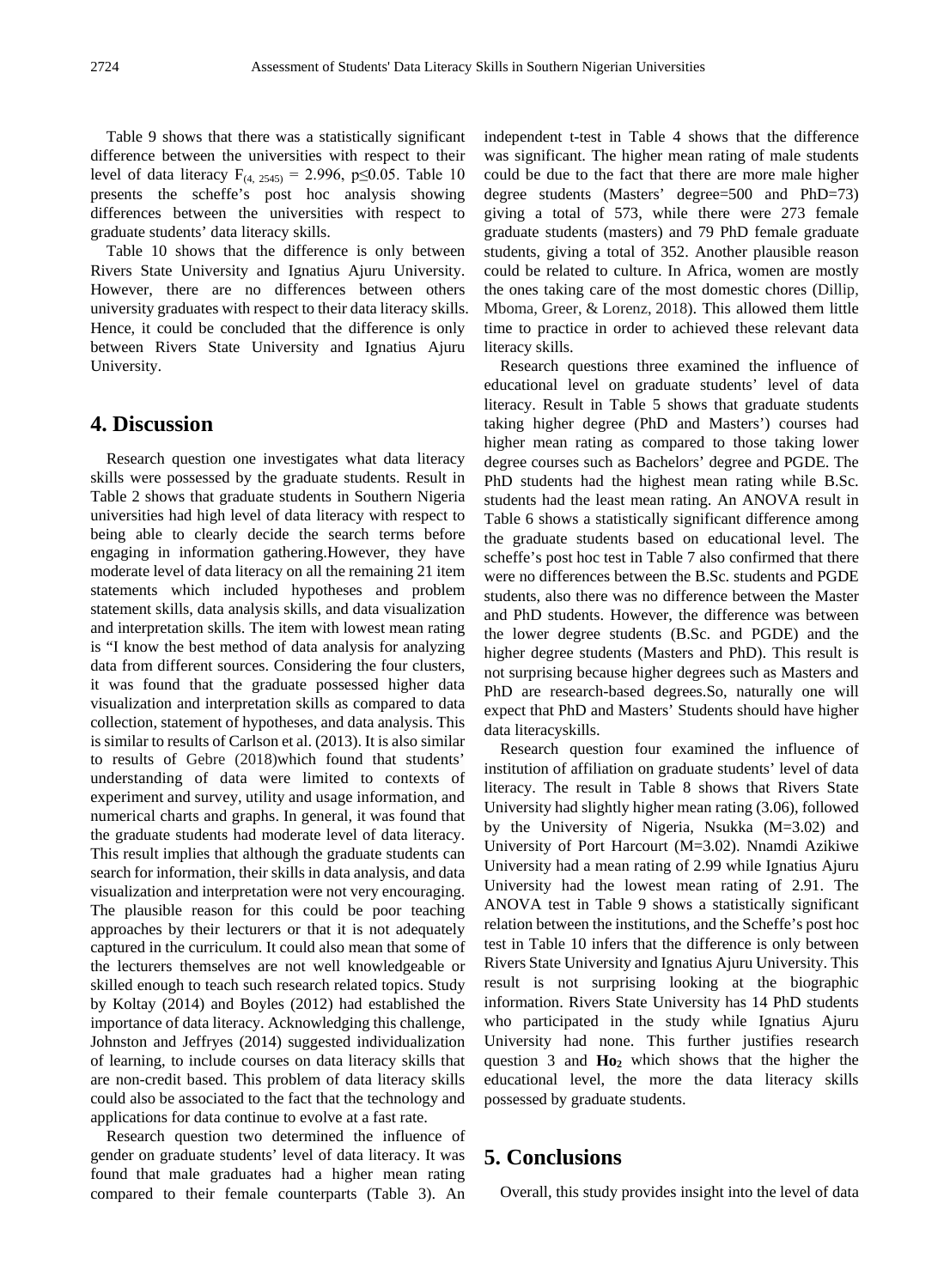Table 9 shows that there was a statistically significant difference between the universities with respect to their level of data literacy  $F_{(4, 2545)} = 2.996$ , p≤0.05. Table 10 presents the scheffe's post hoc analysis showing differences between the universities with respect to graduate students' data literacy skills.

Table 10 shows that the difference is only between Rivers State University and Ignatius Ajuru University. However, there are no differences between others university graduates with respect to their data literacy skills. Hence, it could be concluded that the difference is only between Rivers State University and Ignatius Ajuru University.

## **4. Discussion**

Research question one investigates what data literacy skills were possessed by the graduate students. Result in Table 2 shows that graduate students in Southern Nigeria universities had high level of data literacy with respect to being able to clearly decide the search terms before engaging in information gathering.However, they have moderate level of data literacy on all the remaining 21 item statements which included hypotheses and problem statement skills, data analysis skills, and data visualization and interpretation skills. The item with lowest mean rating is "I know the best method of data analysis for analyzing data from different sources. Considering the four clusters, it was found that the graduate possessed higher data visualization and interpretation skills as compared to data collection, statement of hypotheses, and data analysis. This is similar to results of Carlson et al. (2013). It is also similar to results of Gebre (2018)which found that students' understanding of data were limited to contexts of experiment and survey, utility and usage information, and numerical charts and graphs. In general, it was found that the graduate students had moderate level of data literacy. This result implies that although the graduate students can search for information, their skills in data analysis, and data visualization and interpretation were not very encouraging. The plausible reason for this could be poor teaching approaches by their lecturers or that it is not adequately captured in the curriculum. It could also mean that some of the lecturers themselves are not well knowledgeable or skilled enough to teach such research related topics. Study by Koltay (2014) and Boyles (2012) had established the importance of data literacy. Acknowledging this challenge, Johnston and Jeffryes (2014) suggested individualization of learning, to include courses on data literacy skills that are non-credit based. This problem of data literacy skills could also be associated to the fact that the technology and applications for data continue to evolve at a fast rate.

Research question two determined the influence of gender on graduate students' level of data literacy. It was found that male graduates had a higher mean rating compared to their female counterparts (Table 3). An

independent t-test in Table 4 shows that the difference was significant. The higher mean rating of male students could be due to the fact that there are more male higher degree students (Masters' degree=500 and PhD=73) giving a total of 573, while there were 273 female graduate students (masters) and 79 PhD female graduate students, giving a total of 352. Another plausible reason could be related to culture. In Africa, women are mostly the ones taking care of the most domestic chores (Dillip, Mboma, Greer, & Lorenz, 2018). This allowed them little time to practice in order to achieved these relevant data literacy skills.

Research questions three examined the influence of educational level on graduate students' level of data literacy. Result in Table 5 shows that graduate students taking higher degree (PhD and Masters') courses had higher mean rating as compared to those taking lower degree courses such as Bachelors' degree and PGDE. The PhD students had the highest mean rating while B.Sc. students had the least mean rating. An ANOVA result in Table 6 shows a statistically significant difference among the graduate students based on educational level. The scheffe's post hoc test in Table 7 also confirmed that there were no differences between the B.Sc. students and PGDE students, also there was no difference between the Master and PhD students. However, the difference was between the lower degree students (B.Sc. and PGDE) and the higher degree students (Masters and PhD). This result is not surprising because higher degrees such as Masters and PhD are research-based degrees.So, naturally one will expect that PhD and Masters' Students should have higher data literacyskills.

Research question four examined the influence of institution of affiliation on graduate students' level of data literacy. The result in Table 8 shows that Rivers State University had slightly higher mean rating (3.06), followed by the University of Nigeria, Nsukka (M=3.02) and University of Port Harcourt (M=3.02). Nnamdi Azikiwe University had a mean rating of 2.99 while Ignatius Ajuru University had the lowest mean rating of 2.91. The ANOVA test in Table 9 shows a statistically significant relation between the institutions, and the Scheffe's post hoc test in Table 10 infers that the difference is only between Rivers State University and Ignatius Ajuru University. This result is not surprising looking at the biographic information. Rivers State University has 14 PhD students who participated in the study while Ignatius Ajuru University had none. This further justifies research question 3 and  $H_0$ <sub>2</sub> which shows that the higher the educational level, the more the data literacy skills possessed by graduate students.

## **5. Conclusions**

Overall, this study provides insight into the level of data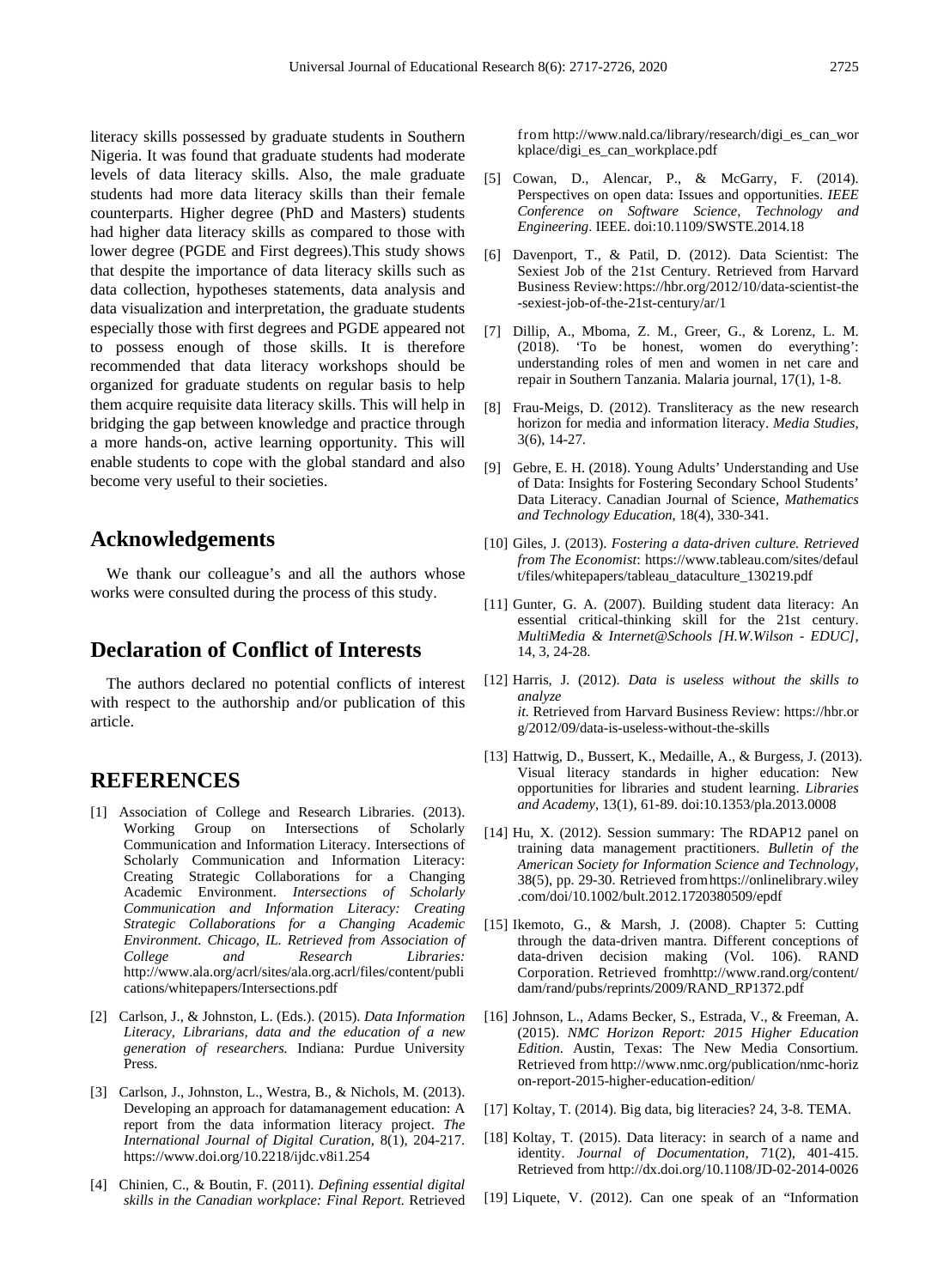literacy skills possessed by graduate students in Southern Nigeria. It was found that graduate students had moderate levels of data literacy skills. Also, the male graduate students had more data literacy skills than their female counterparts. Higher degree (PhD and Masters) students had higher data literacy skills as compared to those with lower degree (PGDE and First degrees).This study shows that despite the importance of data literacy skills such as data collection, hypotheses statements, data analysis and data visualization and interpretation, the graduate students especially those with first degrees and PGDE appeared not to possess enough of those skills. It is therefore recommended that data literacy workshops should be organized for graduate students on regular basis to help them acquire requisite data literacy skills. This will help in bridging the gap between knowledge and practice through a more hands-on, active learning opportunity. This will enable students to cope with the global standard and also become very useful to their societies.

## **Acknowledgements**

We thank our colleague's and all the authors whose works were consulted during the process of this study.

## **Declaration of Conflict of Interests**

The authors declared no potential conflicts of interest with respect to the authorship and/or publication of this article.

## **REFERENCES**

- [1] Association of College and Research Libraries. (2013). Working Group on Intersections of Scholarly Communication and Information Literacy. Intersections of Scholarly Communication and Information Literacy: Creating Strategic Collaborations for a Changing Academic Environment. *Intersections of Scholarly Communication and Information Literacy: Creating Strategic Collaborations for a Changing Academic Environment. Chicago, IL. Retrieved from Association of College and Research Libraries:*  http://www.ala.org/acrl/sites/ala.org.acrl/files/content/publi cations/whitepapers/Intersections.pdf
- [2] Carlson, J., & Johnston, L. (Eds.). (2015). *Data Information Literacy, Librarians, data and the education of a new generation of researchers.* Indiana: Purdue University Press.
- [3] Carlson, J., Johnston, L., Westra, B., & Nichols, M. (2013). Developing an approach for datamanagement education: A report from the data information literacy project. *The International Journal of Digital Curation,* 8(1), 204-217. https://www.doi.org/10.2218/ijdc.v8i1.254
- [4] Chinien, C., & Boutin, F. (2011). *Defining essential digital skills in the Canadian workplace: Final Report.* Retrieved

from http://www.nald.ca/library/research/digi\_es\_can\_wor kplace/digi\_es\_can\_workplace.pdf

- [5] Cowan, D., Alencar, P., & McGarry, F. (2014). Perspectives on open data: Issues and opportunities. *IEEE Conference on Software Science, Technology and Engineering*. IEEE. doi:10.1109/SWSTE.2014.18
- [6] Davenport, T., & Patil, D. (2012). Data Scientist: The Sexiest Job of the 21st Century. Retrieved from Harvard Business Review:https://hbr.org/2012/10/data-scientist-the -sexiest-job-of-the-21st-century/ar/1
- [7] Dillip, A., Mboma, Z. M., Greer, G., & Lorenz, L. M. (2018). 'To be honest, women do everything': understanding roles of men and women in net care and repair in Southern Tanzania. Malaria journal, 17(1), 1-8.
- [8] Frau-Meigs, D. (2012). Transliteracy as the new research horizon for media and information literacy. *Media Studies*, 3(6), 14-27.
- [9] Gebre, E. H. (2018). Young Adults' Understanding and Use of Data: Insights for Fostering Secondary School Students' Data Literacy. Canadian Journal of Science, *Mathematics and Technology Education*, 18(4), 330-341.
- [10] Giles, J. (2013). *Fostering a data-driven culture. Retrieved from The Economist*: https://www.tableau.com/sites/defaul t/files/whitepapers/tableau\_dataculture\_130219.pdf
- [11] Gunter, G. A. (2007). Building student data literacy: An essential critical-thinking skill for the 21st century. *MultiMedia & Internet@Schools [H.W.Wilson - EDUC]*, 14, 3, 24-28.
- [12] Harris, J. (2012). *Data is useless without the skills to analyze it.* Retrieved from Harvard Business Review: https://hbr.or g/2012/09/data-is-useless-without-the-skills
- [13] Hattwig, D., Bussert, K., Medaille, A., & Burgess, J. (2013). Visual literacy standards in higher education: New opportunities for libraries and student learning. *Libraries and Academy*, 13(1), 61-89. doi:10.1353/pla.2013.0008
- [14] Hu, X. (2012). Session summary: The RDAP12 panel on training data management practitioners. *Bulletin of the American Society for Information Science and Technology,* 38(5), pp. 29-30. Retrieved fromhttps://onlinelibrary.wiley .com/doi/10.1002/bult.2012.1720380509/epdf
- [15] Ikemoto, G., & Marsh, J. (2008). Chapter 5: Cutting through the data-driven mantra. Different conceptions of data-driven decision making (Vol. 106). RAND Corporation. Retrieved fromhttp://www.rand.org/content/ dam/rand/pubs/reprints/2009/RAND\_RP1372.pdf
- [16] Johnson, L., Adams Becker, S., Estrada, V., & Freeman, A. (2015). *NMC Horizon Report: 2015 Higher Education Edition*. Austin, Texas: The New Media Consortium. Retrieved from http://www.nmc.org/publication/nmc-horiz on-report-2015-higher-education-edition/
- [17] Koltay, T. (2014). Big data, big literacies? 24, 3-8. TEMA.
- [18] Koltay, T. (2015). Data literacy: in search of a name and identity. *Journal of Documentation*, 71(2), 401-415. Retrieved from http://dx.doi.org/10.1108/JD-02-2014-0026
- [19] Liquete, V. (2012). Can one speak of an "Information